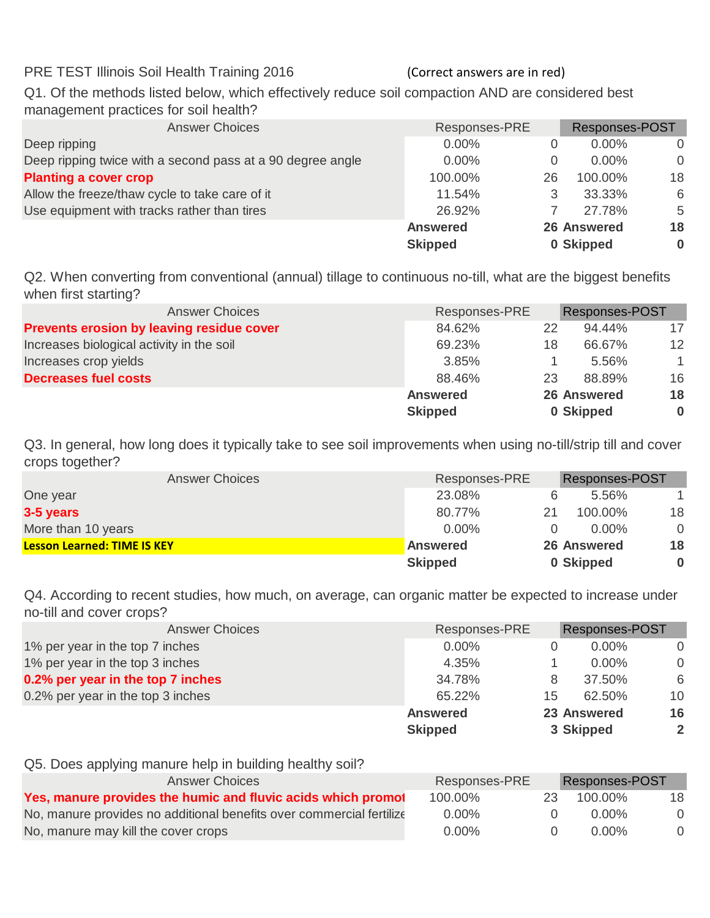PRE TEST Illinois Soil Health Training 2016 (Correct answers are in red)

Q1. Of the methods listed below, which effectively reduce soil compaction AND are considered best management practices for soil health?

| <b>Answer Choices</b>                                      | Responses-PRE   |    | Responses-POST     |          |
|------------------------------------------------------------|-----------------|----|--------------------|----------|
| Deep ripping                                               | $0.00\%$        |    | $0.00\%$           | $\Omega$ |
| Deep ripping twice with a second pass at a 90 degree angle | $0.00\%$        | 0  | $0.00\%$           | $\Omega$ |
| <b>Planting a cover crop</b>                               | 100.00%         | 26 | 100.00%            | 18       |
| Allow the freeze/thaw cycle to take care of it             | 11.54%          | 3  | 33.33%             | 6        |
| Use equipment with tracks rather than tires                | 26.92%          |    | 27.78%             | 5        |
|                                                            | <b>Answered</b> |    | <b>26 Answered</b> | 18       |
|                                                            | <b>Skipped</b>  |    | 0 Skipped          | $\bf{0}$ |

Q2. When converting from conventional (annual) tillage to continuous no-till, what are the biggest benefits when first starting?

| <b>Answer Choices</b>                            | Responses-PRE   |    | <b>Responses-POST</b> |          |
|--------------------------------------------------|-----------------|----|-----------------------|----------|
| <b>Prevents erosion by leaving residue cover</b> | 84.62%          | 22 | $94.44\%$             | 17       |
| Increases biological activity in the soil        | 69.23%          | 18 | 66.67%                | 12       |
| Increases crop yields                            | 3.85%           |    | 5.56%                 | -1       |
| <b>Decreases fuel costs</b>                      | 88.46%          | 23 | 88.89%                | 16       |
|                                                  | <b>Answered</b> |    | <b>26 Answered</b>    | 18       |
|                                                  | <b>Skipped</b>  |    | 0 Skipped             | $\bf{0}$ |

Q3. In general, how long does it typically take to see soil improvements when using no-till/strip till and cover crops together?

| <b>Answer Choices</b>              | Responses-PRE   |    | <b>Responses-POST</b> |          |
|------------------------------------|-----------------|----|-----------------------|----------|
| One year                           | 23.08%          |    | $5.56\%$              |          |
| 3-5 years                          | 80.77%          | 21 | 100.00%               | 18       |
| More than 10 years                 | $0.00\%$        |    | $0.00\%$              | $\Omega$ |
| <b>Lesson Learned: TIME IS KEY</b> | <b>Answered</b> |    | <b>26 Answered</b>    | 18       |
|                                    | <b>Skipped</b>  |    | 0 Skipped             | $\bf{0}$ |

Q4. According to recent studies, how much, on average, can organic matter be expected to increase under no-till and cover crops?

| <b>Answer Choices</b>             | Responses-PRE   |    | <b>Responses-POST</b> |                |
|-----------------------------------|-----------------|----|-----------------------|----------------|
| 1% per year in the top 7 inches   | $0.00\%$        | 0  | $0.00\%$              | $\Omega$       |
| 1% per year in the top 3 inches   | 4.35%           |    | $0.00\%$              | $\Omega$       |
| 0.2% per year in the top 7 inches | 34.78%          | 8  | 37.50%                | 6              |
| 0.2% per year in the top 3 inches | 65.22%          | 15 | 62.50%                | 10             |
|                                   | <b>Answered</b> |    | 23 Answered           | 16             |
|                                   | <b>Skipped</b>  |    | 3 Skipped             | $\overline{2}$ |

Q5. Does applying manure help in building healthy soil?

| <b>Answer Choices</b>                                                | Responses-PRE |     | <b>Responses-POST</b> |          |
|----------------------------------------------------------------------|---------------|-----|-----------------------|----------|
| Yes, manure provides the humic and fluvic acids which promot         | 100.00%       | 23. | 100.00%               | 18       |
| No, manure provides no additional benefits over commercial fertilize | $0.00\%$      |     | 0.00%                 | $\Omega$ |
| No, manure may kill the cover crops                                  | $0.00\%$      |     | 0.00%                 | $\Omega$ |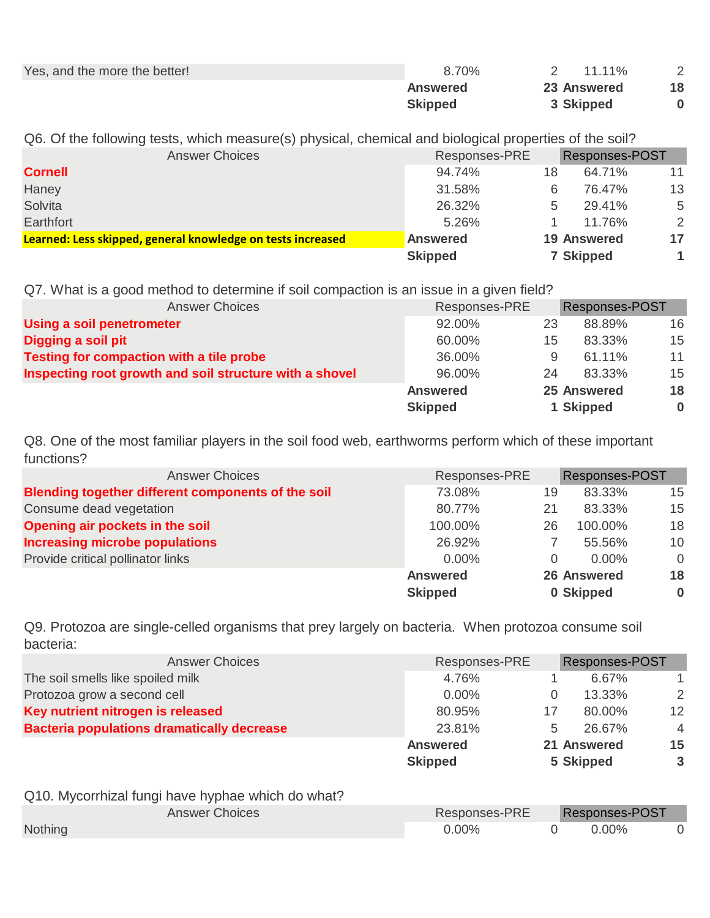| Yes, and the more the better! | 8.70%          | $11.11\%$          |    |
|-------------------------------|----------------|--------------------|----|
|                               | Answered       | <b>23 Answered</b> | 18 |
|                               | <b>Skipped</b> | 3 Skipped          |    |

Q6. Of the following tests, which measure(s) physical, chemical and biological properties of the soil?

| <b>Answer Choices</b>                                       | Responses-PRE   |    | <b>Responses-POST</b> |    |
|-------------------------------------------------------------|-----------------|----|-----------------------|----|
| <b>Cornell</b>                                              | 94.74%          | 18 | 64.71%                | 11 |
| Haney                                                       | 31.58%          | 6  | 76.47%                | 13 |
| Solvita                                                     | 26.32%          | 5  | 29.41%                | 5  |
| Earthfort                                                   | 5.26%           |    | 11.76%                | 2  |
| Learned: Less skipped, general knowledge on tests increased | <b>Answered</b> |    | <b>19 Answered</b>    | 17 |
|                                                             | <b>Skipped</b>  |    | <b>7 Skipped</b>      |    |

Q7. What is a good method to determine if soil compaction is an issue in a given field?

| <b>Answer Choices</b>                                   | Responses-PRE   |    | <b>Responses-POST</b> |          |
|---------------------------------------------------------|-----------------|----|-----------------------|----------|
| Using a soil penetrometer                               | 92.00%          | 23 | 88.89%                | 16       |
| Digging a soil pit                                      | 60.00%          | 15 | 83.33%                | 15       |
| Testing for compaction with a tile probe                | 36.00%          | 9  | 61.11%                | 11       |
| Inspecting root growth and soil structure with a shovel | 96.00%          | 24 | 83.33%                | 15       |
|                                                         | <b>Answered</b> |    | 25 Answered           | 18       |
|                                                         | <b>Skipped</b>  |    | 1 Skipped             | $\bf{0}$ |

Q8. One of the most familiar players in the soil food web, earthworms perform which of these important functions?

| <b>Answer Choices</b>                              | Responses-PRE   |    | <b>Responses-POST</b> |          |
|----------------------------------------------------|-----------------|----|-----------------------|----------|
| Blending together different components of the soil | 73.08%          | 19 | 83.33%                | 15       |
| Consume dead vegetation                            | 80.77%          | 21 | 83.33%                | 15       |
| Opening air pockets in the soil                    | 100.00%         | 26 | 100.00%               | 18       |
| <b>Increasing microbe populations</b>              | 26.92%          |    | 55.56%                | 10       |
| Provide critical pollinator links                  | $0.00\%$        | 0  | $0.00\%$              | $\Omega$ |
|                                                    | <b>Answered</b> |    | <b>26 Answered</b>    | 18       |
|                                                    | <b>Skipped</b>  |    | 0 Skipped             | $\bf{0}$ |

Q9. Protozoa are single-celled organisms that prey largely on bacteria. When protozoa consume soil bacteria:

| <b>Answer Choices</b>                             | Responses-PRE   |          | <b>Responses-POST</b> |                 |
|---------------------------------------------------|-----------------|----------|-----------------------|-----------------|
| The soil smells like spoiled milk                 | 4.76%           |          | 6.67%                 |                 |
| Protozoa grow a second cell                       | $0.00\%$        | $\Omega$ | 13.33%                | 2               |
| Key nutrient nitrogen is released                 | 80.95%          | 17       | 80.00%                | 12 <sup>2</sup> |
| <b>Bacteria populations dramatically decrease</b> | 23.81%          | 5        | 26.67%                | $\overline{4}$  |
|                                                   | <b>Answered</b> |          | 21 Answered           | 15              |
|                                                   | <b>Skipped</b>  |          | 5 Skipped             | $\mathbf{3}$    |
| Q10. Mycorrhizal fungi have hyphae which do what? |                 |          |                       |                 |
| <b>Answer Choices</b>                             | Responses-PRE   |          | <b>Responses-POST</b> |                 |
| <b>Nothing</b>                                    | $0.00\%$        |          | 0.00%                 | $\Omega$        |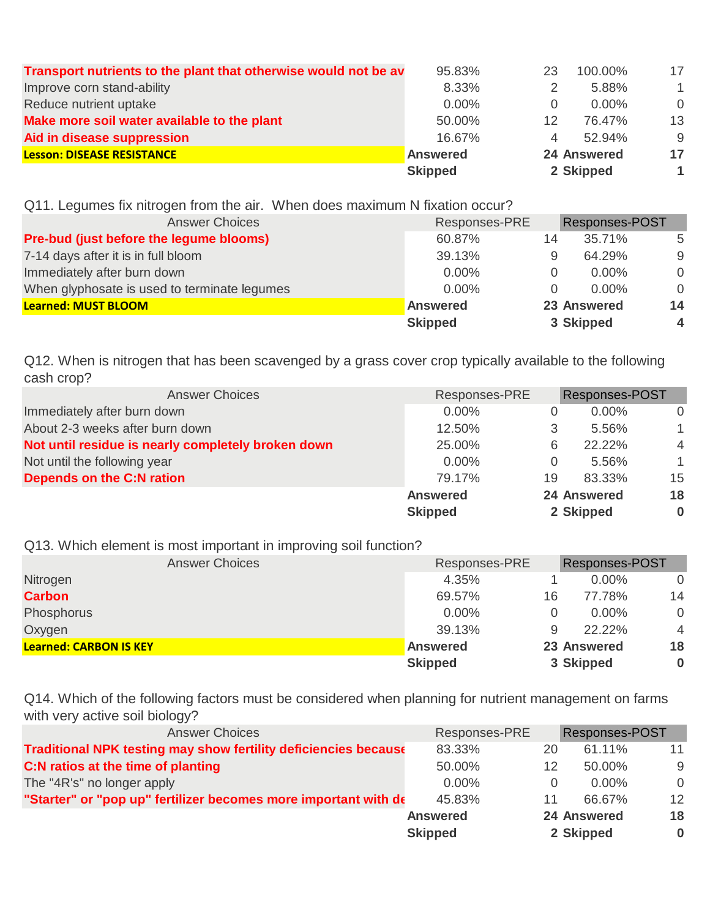|                                                                 | <b>Skipped</b>  |                | 2 Skipped          |              |
|-----------------------------------------------------------------|-----------------|----------------|--------------------|--------------|
| <b>Lesson: DISEASE RESISTANCE</b>                               | <b>Answered</b> |                | <b>24 Answered</b> | 17           |
| Aid in disease suppression                                      | 16.67%          | $\overline{4}$ | 52.94%             | -9           |
| Make more soil water available to the plant                     | 50.00%          | 12             | 76.47%             | 13           |
| Reduce nutrient uptake                                          | $0.00\%$        | $\Omega$       | $0.00\%$           | $\Omega$     |
| Improve corn stand-ability                                      | 8.33%           |                | 5.88%              | $\mathbf{1}$ |
| Transport nutrients to the plant that otherwise would not be av | 95.83%          | 23             | 100.00%            | 17           |

Q11. Legumes fix nitrogen from the air. When does maximum N fixation occur?

| <b>Answer Choices</b>                        | Responses-PRE   |          | <b>Responses-POST</b> |                         |
|----------------------------------------------|-----------------|----------|-----------------------|-------------------------|
| Pre-bud (just before the legume blooms)      | 60.87%          | 14       | 35.71%                | -5                      |
| 7-14 days after it is in full bloom          | 39.13%          | 9        | 64.29%                | 9                       |
| Immediately after burn down                  | $0.00\%$        | $\Omega$ | $0.00\%$              | $\Omega$                |
| When glyphosate is used to terminate legumes | $0.00\%$        | $\Omega$ | $0.00\%$              | $\Omega$                |
| Learned: MUST BLOOM                          | <b>Answered</b> |          | 23 Answered           | 14                      |
|                                              | <b>Skipped</b>  |          | 3 Skipped             | $\overline{\mathbf{4}}$ |

Q12. When is nitrogen that has been scavenged by a grass cover crop typically available to the following cash crop?

| <b>Answer Choices</b>                              | Responses-PRE   |          | <b>Responses-POST</b> |                |
|----------------------------------------------------|-----------------|----------|-----------------------|----------------|
| Immediately after burn down                        | $0.00\%$        |          | $0.00\%$              | $\Omega$       |
| About 2-3 weeks after burn down                    | 12.50%          | 3        | 5.56%                 |                |
| Not until residue is nearly completely broken down | 25.00%          | 6        | 22.22%                | $\overline{4}$ |
| Not until the following year                       | $0.00\%$        | $\Omega$ | 5.56%                 | 1.             |
| <b>Depends on the C:N ration</b>                   | 79.17%          | 19       | 83.33%                | 15             |
|                                                    | <b>Answered</b> |          | <b>24 Answered</b>    | 18             |
|                                                    | <b>Skipped</b>  |          | 2 Skipped             | $\bf{0}$       |

Q13. Which element is most important in improving soil function?

| <b>Answer Choices</b>         | Responses-PRE   |    | <b>Responses-POST</b> |                |
|-------------------------------|-----------------|----|-----------------------|----------------|
| Nitrogen                      | 4.35%           |    | $0.00\%$              | $\Omega$       |
| <b>Carbon</b>                 | 69.57%          | 16 | 77.78%                | 14             |
| Phosphorus                    | $0.00\%$        |    | $0.00\%$              | 0              |
| Oxygen                        | 39.13%          | 9  | 22.22%                | $\overline{4}$ |
| <b>Learned: CARBON IS KEY</b> | <b>Answered</b> |    | 23 Answered           | 18             |
|                               | <b>Skipped</b>  |    | 3 Skipped             | $\bf{0}$       |

Q14. Which of the following factors must be considered when planning for nutrient management on farms with very active soil biology?

| <b>Answer Choices</b>                                                  | Responses-PRE   |    | <b>Responses-POST</b> |          |
|------------------------------------------------------------------------|-----------------|----|-----------------------|----------|
| <b>Traditional NPK testing may show fertility deficiencies because</b> | 83.33%          | 20 | 61.11%                | 11       |
| C:N ratios at the time of planting                                     | 50.00%          |    | 50.00%                | 9        |
| The "4R's" no longer apply                                             | $0.00\%$        |    | $0.00\%$              | $\Omega$ |
| "Starter" or "pop up" fertilizer becomes more important with de        | 45.83%          |    | 66.67%                | 12       |
|                                                                        | <b>Answered</b> |    | <b>24 Answered</b>    | 18       |
|                                                                        | <b>Skipped</b>  |    | 2 Skipped             | $\bf{0}$ |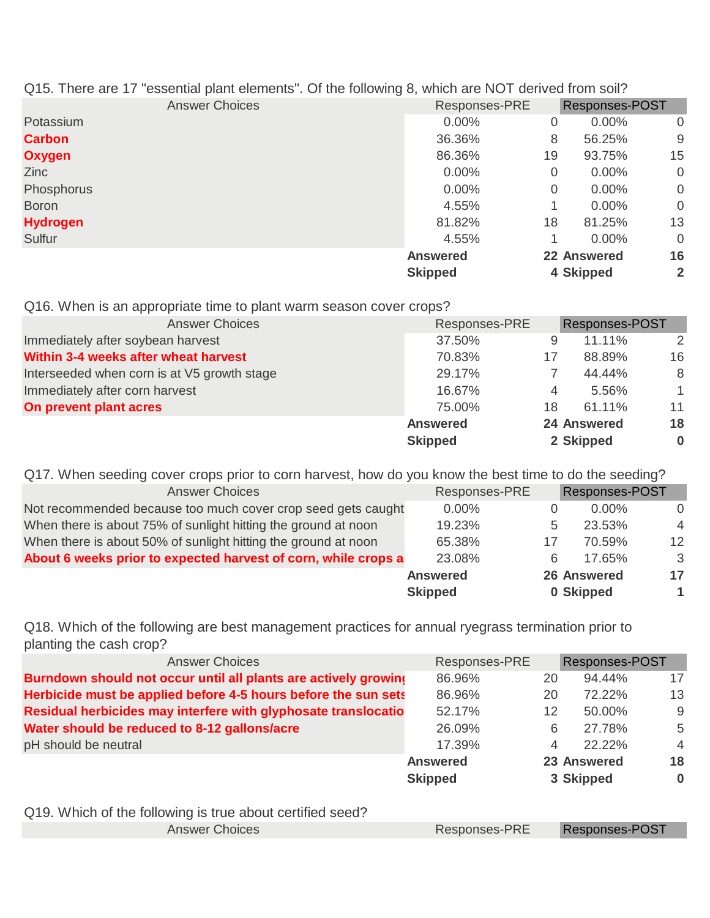| Q15. There are 17 "essential plant elements". Of the following 8, which are NOT derived from soil? |                 |    |                |                |
|----------------------------------------------------------------------------------------------------|-----------------|----|----------------|----------------|
| <b>Answer Choices</b>                                                                              | Responses-PRE   |    | Responses-POST |                |
| Potassium                                                                                          | $0.00\%$        | 0  | $0.00\%$       | 0              |
| <b>Carbon</b>                                                                                      | 36.36%          | 8  | 56.25%         | 9              |
| <b>Oxygen</b>                                                                                      | 86.36%          | 19 | 93.75%         | 15             |
| <b>Zinc</b>                                                                                        | $0.00\%$        | 0  | $0.00\%$       | $\overline{0}$ |
| Phosphorus                                                                                         | $0.00\%$        | 0  | $0.00\%$       | $\overline{0}$ |
| <b>Boron</b>                                                                                       | 4.55%           |    | $0.00\%$       | $\overline{0}$ |
| <b>Hydrogen</b>                                                                                    | 81.82%          | 18 | 81.25%         | 13             |
| Sulfur                                                                                             | 4.55%           |    | $0.00\%$       | $\overline{0}$ |
|                                                                                                    | <b>Answered</b> |    | 22 Answered    | 16             |
|                                                                                                    | <b>Skipped</b>  |    | 4 Skipped      | $\mathbf{2}$   |

Q16. When is an appropriate time to plant warm season cover crops?

| <b>Answer Choices</b>                       | Responses-PRE   |    | <b>Responses-POST</b> |              |
|---------------------------------------------|-----------------|----|-----------------------|--------------|
| Immediately after soybean harvest           | 37.50%          | 9  | 11.11%                | 2            |
| Within 3-4 weeks after wheat harvest        | 70.83%          | 17 | 88.89%                | 16           |
| Interseeded when corn is at V5 growth stage | 29.17%          |    | 44.44%                | -8           |
| Immediately after corn harvest              | 16.67%          | 4  | 5.56%                 | $\mathbf{1}$ |
| On prevent plant acres                      | 75.00%          | 18 | 61.11%                | 11           |
|                                             | <b>Answered</b> |    | <b>24 Answered</b>    | 18           |
|                                             | <b>Skipped</b>  |    | 2 Skipped             | $\bf{0}$     |

Q17. When seeding cover crops prior to corn harvest, how do you know the best time to do the seeding?

| <b>Answer Choices</b>                                          | Responses-PRE   |    | <b>Responses-POST</b> |                |
|----------------------------------------------------------------|-----------------|----|-----------------------|----------------|
| Not recommended because too much cover crop seed gets caught   | $0.00\%$        |    | $0.00\%$              | $\Omega$       |
| When there is about 75% of sunlight hitting the ground at noon | 19.23%          | 5  | 23.53%                | $\overline{4}$ |
| When there is about 50% of sunlight hitting the ground at noon | 65.38%          | 17 | 70.59%                | 12             |
| About 6 weeks prior to expected harvest of corn, while crops a | 23.08%          | 6  | 17.65%                | -3             |
|                                                                | <b>Answered</b> |    | <b>26 Answered</b>    | 17             |
|                                                                | <b>Skipped</b>  |    | 0 Skipped             | 1              |

Q18. Which of the following are best management practices for annual ryegrass termination prior to planting the cash crop?

| <b>Answer Choices</b>                                           | Responses-PRE   |    | <b>Responses-POST</b> |                |
|-----------------------------------------------------------------|-----------------|----|-----------------------|----------------|
| Burndown should not occur until all plants are actively growing | 86.96%          | 20 | 94.44%                | 17             |
| Herbicide must be applied before 4-5 hours before the sun sets  | 86.96%          | 20 | 72.22%                | 13             |
| Residual herbicides may interfere with glyphosate translocatio  | 52.17%          | 12 | 50.00%                | -9             |
| Water should be reduced to 8-12 gallons/acre                    | 26.09%          | 6  | 27.78%                | 5              |
| pH should be neutral                                            | 17.39%          | 4  | $22.22\%$             | $\overline{4}$ |
|                                                                 | <b>Answered</b> |    | 23 Answered           | 18             |
|                                                                 | <b>Skipped</b>  |    | 3 Skipped             | $\bf{0}$       |

Q19. Which of the following is true about certified seed?

Answer Choices **Responses-PRE** Responses-POST Responses-PRE